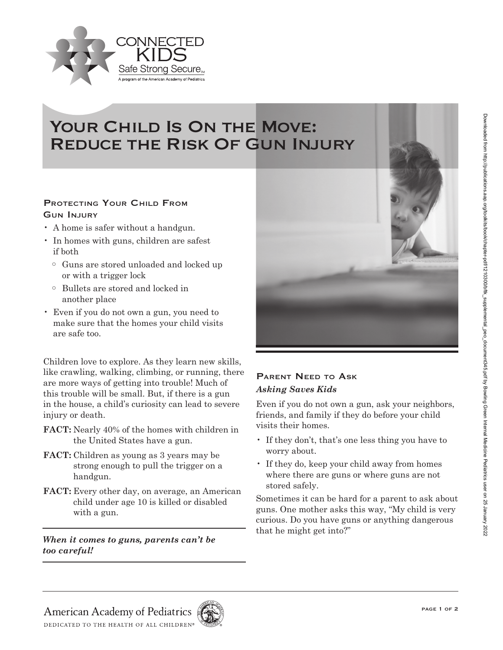

# YOUR CHILD IS ON THE MOVE: Reduce the Risk Of Gun Injury

### PROTECTING YOUR CHILD FROM Gun Injury

- A home is safer without a handgun.
- In homes with guns, children are safest if both
	- o Guns are stored unloaded and locked up or with a trigger lock
	- o Bullets are stored and locked in another place
- Even if you do not own a gun, you need to make sure that the homes your child visits are safe too.

Children love to explore. As they learn new skills, like crawling, walking, climbing, or running, there are more ways of getting into trouble! Much of this trouble will be small. But, if there is a gun in the house, a child's curiosity can lead to severe injury or death.

- **FACT:** Nearly 40% of the homes with children in the United States have a gun.
- **FACT:** Children as young as 3 years may be strong enough to pull the trigger on a handgun.
- **FACT:** Every other day, on average, an American child under age 10 is killed or disabled with a gun.

*When it comes to guns, parents can't be too careful!*



## PARENT NEED TO ASK *Asking Saves Kids*

Even if you do not own a gun, ask your neighbors, friends, and family if they do before your child visits their homes.

- If they don't, that's one less thing you have to worry about.
- If they do, keep your child away from homes where there are guns or where guns are not stored safely.

Sometimes it can be hard for a parent to ask about guns. One mother asks this way, "My child is very curious. Do you have guns or anything dangerous that he might get into?"

## **American Academy of Pediatrics**